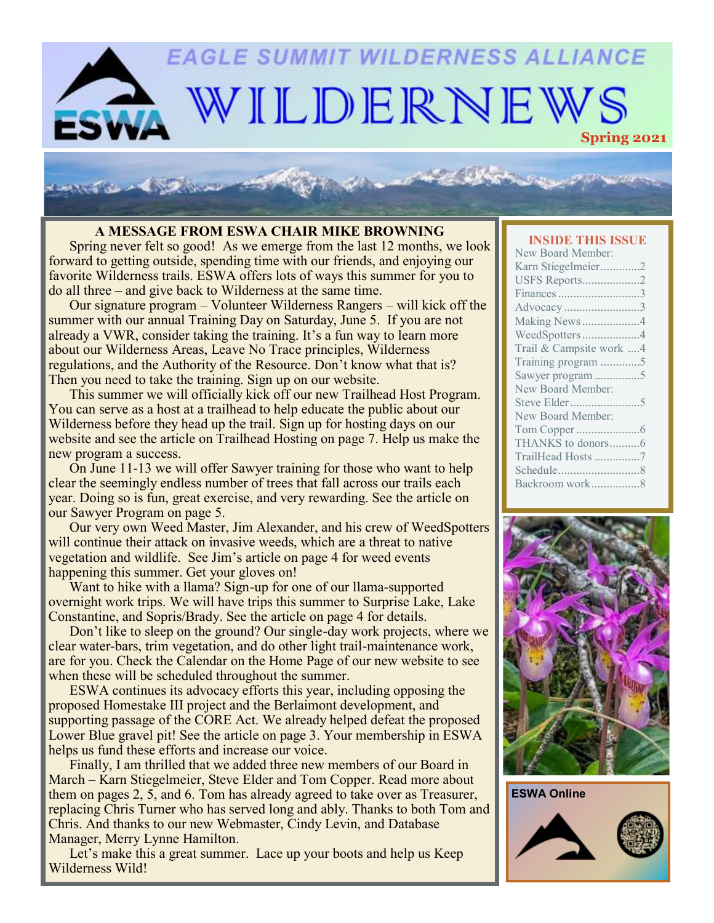# **EAGLE SUMMIT WILDERNESS ALLIANCE** WILDERNEWS

#### **A MESSAGE FROM ESWA CHAIR MIKE BROWNING**

Spring never felt so good! As we emerge from the last 12 months, we look forward to getting outside, spending time with our friends, and enjoying our favorite Wilderness trails. ESWA offers lots of ways this summer for you to do all three – and give back to Wilderness at the same time.

Our signature program – Volunteer Wilderness Rangers – will kick off the summer with our annual Training Day on Saturday, June 5. If you are not already a VWR, consider taking the training. It's a fun way to learn more about our Wilderness Areas, Leave No Trace principles, Wilderness regulations, and the Authority of the Resource. Don't know what that is? Then you need to take the training. Sign up on our website.

This summer we will officially kick off our new Trailhead Host Program. You can serve as a host at a trailhead to help educate the public about our Wilderness before they head up the trail. Sign up for hosting days on our website and see the article on Trailhead Hosting on page 7. Help us make the new program a success.

On June 11-13 we will offer Sawyer training for those who want to help clear the seemingly endless number of trees that fall across our trails each year. Doing so is fun, great exercise, and very rewarding. See the article on our Sawyer Program on page 5.

Our very own Weed Master, Jim Alexander, and his crew of WeedSpotters will continue their attack on invasive weeds, which are a threat to native vegetation and wildlife. See Jim's article on page 4 for weed events happening this summer. Get your gloves on!

Want to hike with a llama? Sign-up for one of our llama-supported overnight work trips. We will have trips this summer to Surprise Lake, Lake Constantine, and Sopris/Brady. See the article on page 4 for details.

Don't like to sleep on the ground? Our single-day work projects, where we clear water-bars, trim vegetation, and do other light trail-maintenance work, are for you. Check the Calendar on the Home Page of our new website to see when these will be scheduled throughout the summer.

ESWA continues its advocacy efforts this year, including opposing the proposed Homestake III project and the Berlaimont development, and supporting passage of the CORE Act. We already helped defeat the proposed Lower Blue gravel pit! See the article on page 3. Your membership in ESWA helps us fund these efforts and increase our voice.

Finally, I am thrilled that we added three new members of our Board in March – Karn Stiegelmeier, Steve Elder and Tom Copper. Read more about them on pages 2, 5, and 6. Tom has already agreed to take over as Treasurer, replacing Chris Turner who has served long and ably. Thanks to both Tom and Chris. And thanks to our new Webmaster, Cindy Levin, and Database Manager, Merry Lynne Hamilton.

Let's make this a great summer. Lace up your boots and help us Keep Wilderness Wild!

#### **INSIDE THIS ISSUE**

| New Board Member:       |
|-------------------------|
| Karn Stiegelmeier2      |
| USFS Reports2           |
| Finances 3              |
| Advocacy 3              |
| Making News 4           |
| WeedSpotters4           |
| Trail & Campsite work 4 |
| Training program 5      |
| Sawyer program 5        |
| New Board Member:       |
|                         |
| New Board Member:       |
|                         |
| THANKS to donors6       |
| TrailHead Hosts 7       |
|                         |
| Backroom work8          |
|                         |



**ESWA Online**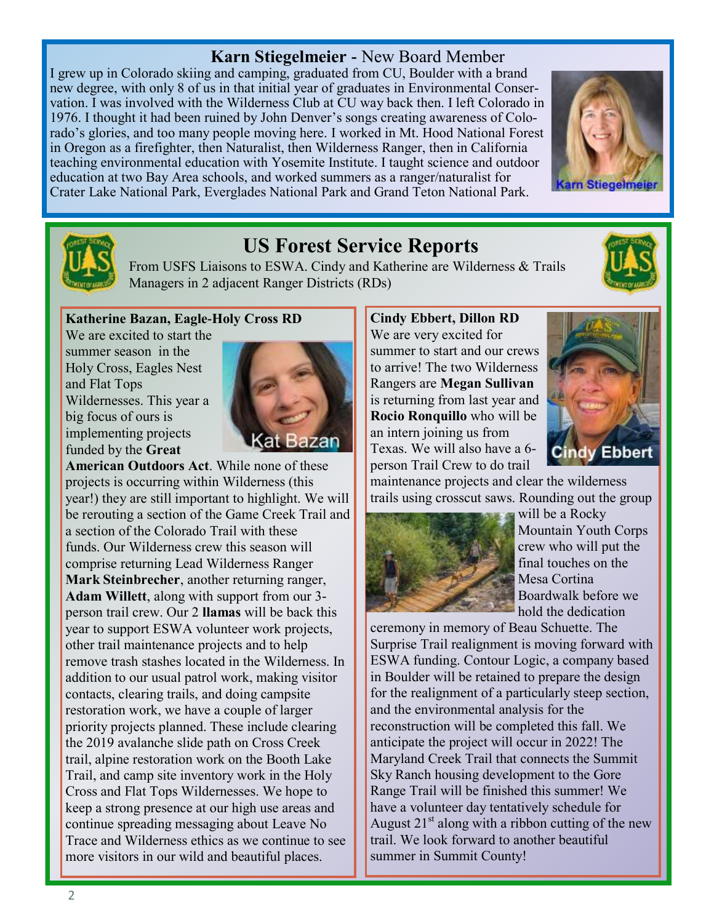### **Karn Stiegelmeier -** New Board Member

I grew up in Colorado skiing and camping, graduated from CU, Boulder with a brand new degree, with only 8 of us in that initial year of graduates in Environmental Conservation. I was involved with the Wilderness Club at CU way back then. I left Colorado in 1976. I thought it had been ruined by John Denver's songs creating awareness of Colorado's glories, and too many people moving here. I worked in Mt. Hood National Forest in Oregon as a firefighter, then Naturalist, then Wilderness Ranger, then in California teaching environmental education with Yosemite Institute. I taught science and outdoor education at two Bay Area schools, and worked summers as a ranger/naturalist for Crater Lake National Park, Everglades National Park and Grand Teton National Park.





# **US Forest Service Reports**

From USFS Liaisons to ESWA. Cindy and Katherine are Wilderness & Trails Managers in 2 adjacent Ranger Districts (RDs)

#### **Katherine Bazan, Eagle-Holy Cross RD**

We are excited to start the summer season in the Holy Cross, Eagles Nest and Flat Tops Wildernesses. This year a big focus of ours is implementing projects funded by the **Great** 



**American Outdoors Act**. While none of these projects is occurring within Wilderness (this year!) they are still important to highlight. We will be rerouting a section of the Game Creek Trail and a section of the Colorado Trail with these funds. Our Wilderness crew this season will comprise returning Lead Wilderness Ranger **Mark Steinbrecher**, another returning ranger, **Adam Willett**, along with support from our 3 person trail crew. Our 2 **llamas** will be back this year to support ESWA volunteer work projects, other trail maintenance projects and to help remove trash stashes located in the Wilderness. In addition to our usual patrol work, making visitor contacts, clearing trails, and doing campsite restoration work, we have a couple of larger priority projects planned. These include clearing the 2019 avalanche slide path on Cross Creek trail, alpine restoration work on the Booth Lake Trail, and camp site inventory work in the Holy Cross and Flat Tops Wildernesses. We hope to keep a strong presence at our high use areas and continue spreading messaging about Leave No Trace and Wilderness ethics as we continue to see more visitors in our wild and beautiful places.

**Cindy Ebbert, Dillon RD** We are very excited for summer to start and our crews to arrive! The two Wilderness Rangers are **Megan Sullivan**  is returning from last year and **Rocio Ronquillo** who will be an intern joining us from Texas. We will also have a 6 person Trail Crew to do trail



maintenance projects and clear the wilderness trails using crosscut saws. Rounding out the group



will be a Rocky Mountain Youth Corps crew who will put the final touches on the Mesa Cortina Boardwalk before we hold the dedication

ceremony in memory of Beau Schuette. The Surprise Trail realignment is moving forward with ESWA funding. Contour Logic, a company based in Boulder will be retained to prepare the design for the realignment of a particularly steep section, and the environmental analysis for the reconstruction will be completed this fall. We anticipate the project will occur in 2022! The Maryland Creek Trail that connects the Summit Sky Ranch housing development to the Gore Range Trail will be finished this summer! We have a volunteer day tentatively schedule for August  $21<sup>st</sup>$  along with a ribbon cutting of the new trail. We look forward to another beautiful summer in Summit County!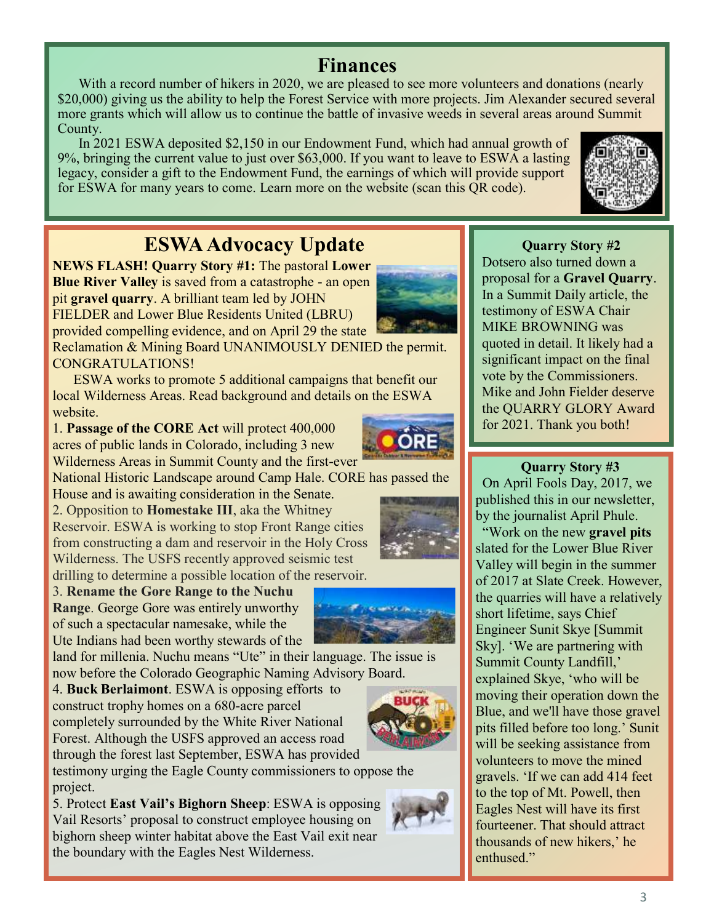# **Finances**

With a record number of hikers in 2020, we are pleased to see more volunteers and donations (nearly \$20,000) giving us the ability to help the Forest Service with more projects. Jim Alexander secured several more grants which will allow us to continue the battle of invasive weeds in several areas around Summit County.

In 2021 ESWA deposited \$2,150 in our Endowment Fund, which had annual growth of 9%, bringing the current value to just over \$63,000. If you want to leave to ESWA a lasting legacy, consider a gift to the Endowment Fund, the earnings of which will provide support for ESWA for many years to come. Learn more on the website (scan this QR code).



# **ESWA Advocacy Update**

**NEWS FLASH! Quarry Story #1:** The pastoral **Lower Blue River Valley** is saved from a catastrophe - an open pit **gravel quarry**. A brilliant team led by JOHN FIELDER and Lower Blue Residents United (LBRU) provided compelling evidence, and on April 29 the state



Reclamation & Mining Board UNANIMOUSLY DENIED the permit. CONGRATULATIONS!

ESWA works to promote 5 additional campaigns that benefit our local Wilderness Areas. Read background and details on the ESWA website.

1. **Passage of the CORE Act** will protect 400,000 acres of public lands in Colorado, including 3 new Wilderness Areas in Summit County and the first-ever



National Historic Landscape around Camp Hale. CORE has passed the House and is awaiting consideration in the Senate.

2. Opposition to **Homestake III**, aka the Whitney Reservoir. ESWA is working to stop Front Range cities from constructing a dam and reservoir in the Holy Cross Wilderness. The USFS recently approved seismic test drilling to determine a possible location of the reservoir.

3. **Rename the Gore Range to the Nuchu Range**. George Gore was entirely unworthy of such a spectacular namesake, while the Ute Indians had been worthy stewards of the

land for millenia. Nuchu means "Ute" in their language. The issue is now before the Colorado Geographic Naming Advisory Board.

4. **Buck Berlaimont**. ESWA is opposing efforts to construct trophy homes on a 680-acre parcel completely surrounded by the White River National Forest. Although the USFS approved an access road through the forest last September, ESWA has provided

testimony urging the Eagle County commissioners to oppose the project.

5. Protect **East Vail's Bighorn Sheep**: ESWA is opposing Vail Resorts' proposal to construct employee housing on bighorn sheep winter habitat above the East Vail exit near the boundary with the Eagles Nest Wilderness.

### **Quarry Story #2**

Dotsero also turned down a proposal for a **Gravel Quarry**. In a Summit Daily article, the testimony of ESWA Chair MIKE BROWNING was quoted in detail. It likely had a significant impact on the final vote by the Commissioners. Mike and John Fielder deserve the QUARRY GLORY Award for 2021. Thank you both!

### **Quarry Story #3**

 On April Fools Day, 2017, we published this in our newsletter, by the journalist April Phule.

 "Work on the new **gravel pits** slated for the Lower Blue River Valley will begin in the summer of 2017 at Slate Creek. However, the quarries will have a relatively short lifetime, says Chief Engineer Sunit Skye [Summit Sky]. 'We are partnering with Summit County Landfill,' explained Skye, 'who will be moving their operation down the Blue, and we'll have those gravel pits filled before too long.' Sunit will be seeking assistance from volunteers to move the mined gravels. 'If we can add 414 feet to the top of Mt. Powell, then Eagles Nest will have its first fourteener. That should attract thousands of new hikers,' he enthused."



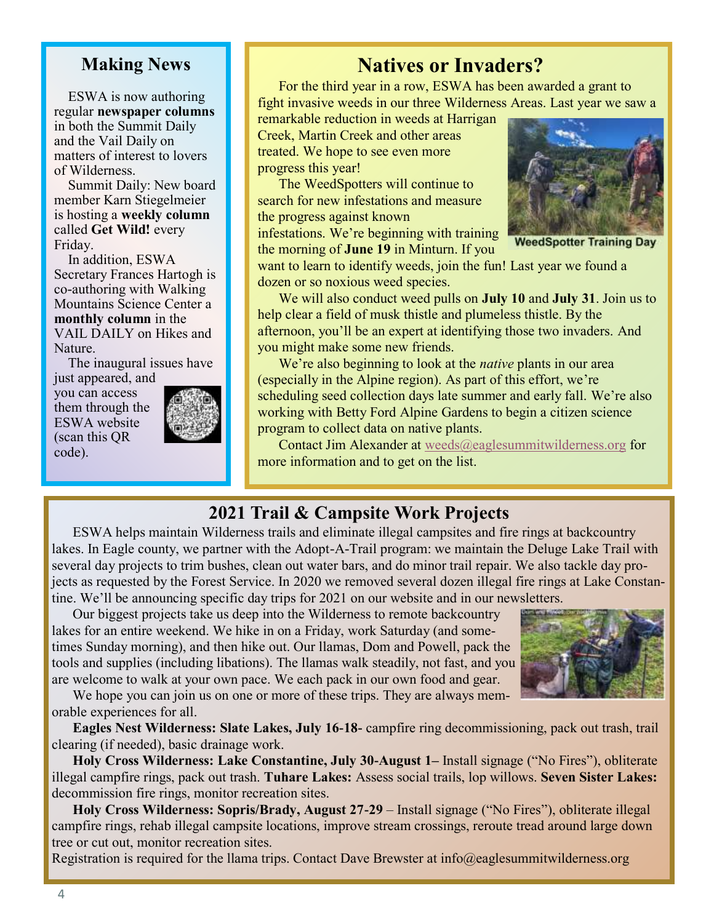### **Making News**

 ESWA is now authoring regular **newspaper columns** in both the Summit Daily and the Vail Daily on matters of interest to lovers of Wilderness.

 Summit Daily: New board member Karn Stiegelmeier is hosting a **weekly column**  called **Get Wild!** every Friday.

 In addition, ESWA Secretary Frances Hartogh is co-authoring with Walking Mountains Science Center a **monthly column** in the VAIL DAILY on Hikes and Nature.

 The inaugural issues have just appeared, and

you can access them through the ESWA website (scan this QR code).



# **Natives or Invaders?**

For the third year in a row, ESWA has been awarded a grant to fight invasive weeds in our three Wilderness Areas. Last year we saw a

remarkable reduction in weeds at Harrigan Creek, Martin Creek and other areas treated. We hope to see even more progress this year!

The WeedSpotters will continue to search for new infestations and measure the progress against known

infestations. We're beginning with training the morning of **June 19** in Minturn. If you



**WeedSpotter Training Day** 

want to learn to identify weeds, join the fun! Last year we found a dozen or so noxious weed species.

We will also conduct weed pulls on **July 10** and **July 31**. Join us to help clear a field of musk thistle and plumeless thistle. By the afternoon, you'll be an expert at identifying those two invaders. And you might make some new friends.

We're also beginning to look at the *native* plants in our area (especially in the Alpine region). As part of this effort, we're scheduling seed collection days late summer and early fall. We're also working with Betty Ford Alpine Gardens to begin a citizen science program to collect data on native plants.

Contact Jim Alexander at [weeds@eaglesummitwilderness.org](mailto:weeds@eaglesummitwilderness.org) for more information and to get on the list.

### **2021 Trail & Campsite Work Projects**

ESWA helps maintain Wilderness trails and eliminate illegal campsites and fire rings at backcountry lakes. In Eagle county, we partner with the Adopt-A-Trail program: we maintain the Deluge Lake Trail with several day projects to trim bushes, clean out water bars, and do minor trail repair. We also tackle day projects as requested by the Forest Service. In 2020 we removed several dozen illegal fire rings at Lake Constantine. We'll be announcing specific day trips for 2021 on our website and in our newsletters.

Our biggest projects take us deep into the Wilderness to remote backcountry lakes for an entire weekend. We hike in on a Friday, work Saturday (and sometimes Sunday morning), and then hike out. Our llamas, Dom and Powell, pack the tools and supplies (including libations). The llamas walk steadily, not fast, and you are welcome to walk at your own pace. We each pack in our own food and gear.



We hope you can join us on one or more of these trips. They are always memorable experiences for all.

**Eagles Nest Wilderness: Slate Lakes, July 16-18-** campfire ring decommissioning, pack out trash, trail clearing (if needed), basic drainage work.

**Holy Cross Wilderness: Lake Constantine, July 30-August 1–** Install signage ("No Fires"), obliterate illegal campfire rings, pack out trash. **Tuhare Lakes:** Assess social trails, lop willows. **Seven Sister Lakes:** decommission fire rings, monitor recreation sites.

**Holy Cross Wilderness: Sopris/Brady, August 27-29** – Install signage ("No Fires"), obliterate illegal campfire rings, rehab illegal campsite locations, improve stream crossings, reroute tread around large down tree or cut out, monitor recreation sites.

Registration is required for the Ilama trips. Contact Dave Brewster at info@eaglesummitwilderness.org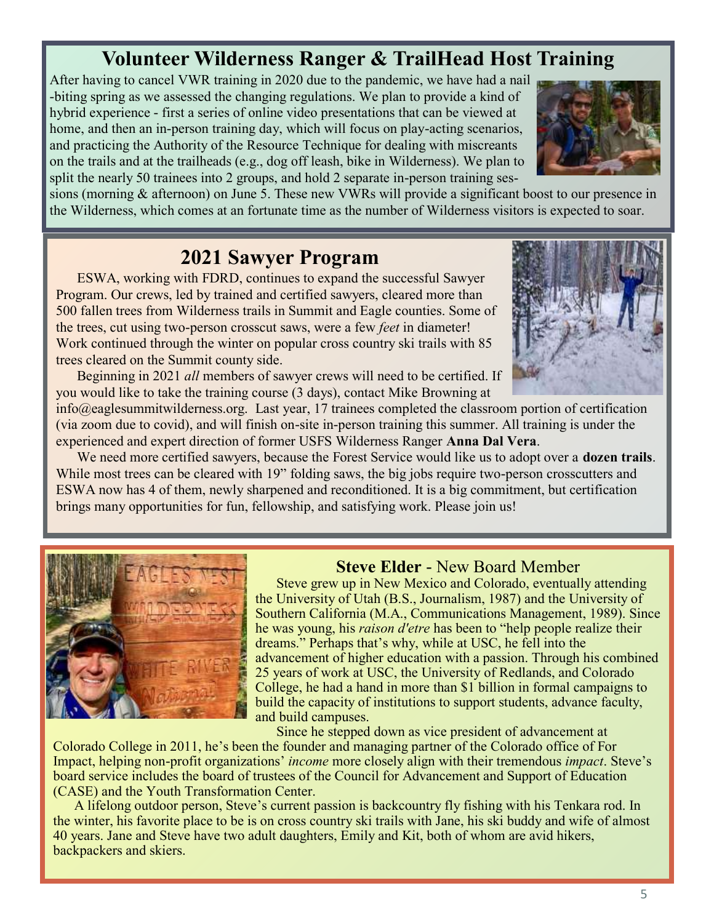# **Volunteer Wilderness Ranger & TrailHead Host Training**

After having to cancel VWR training in 2020 due to the pandemic, we have had a nail -biting spring as we assessed the changing regulations. We plan to provide a kind of hybrid experience - first a series of online video presentations that can be viewed at home, and then an in-person training day, which will focus on play-acting scenarios, and practicing the Authority of the Resource Technique for dealing with miscreants on the trails and at the trailheads (e.g., dog off leash, bike in Wilderness). We plan to split the nearly 50 trainees into 2 groups, and hold 2 separate in-person training ses-



sions (morning & afternoon) on June 5. These new VWRs will provide a significant boost to our presence in the Wilderness, which comes at an fortunate time as the number of Wilderness visitors is expected to soar.

## **2021 Sawyer Program**

ESWA, working with FDRD, continues to expand the successful Sawyer Program. Our crews, led by trained and certified sawyers, cleared more than 500 fallen trees from Wilderness trails in Summit and Eagle counties. Some of the trees, cut using two-person crosscut saws, were a few *feet* in diameter! Work continued through the winter on popular cross country ski trails with 85 trees cleared on the Summit county side.



Beginning in 2021 *all* members of sawyer crews will need to be certified. If you would like to take the training course (3 days), contact Mike Browning at

info@eaglesummitwilderness.org. Last year, 17 trainees completed the classroom portion of certification (via zoom due to covid), and will finish on-site in-person training this summer. All training is under the experienced and expert direction of former USFS Wilderness Ranger **Anna Dal Vera**.

We need more certified sawyers, because the Forest Service would like us to adopt over a **dozen trails**. While most trees can be cleared with 19" folding saws, the big jobs require two-person crosscutters and ESWA now has 4 of them, newly sharpened and reconditioned. It is a big commitment, but certification brings many opportunities for fun, fellowship, and satisfying work. Please join us!



### **Steve Elder** - New Board Member

Steve grew up in New Mexico and Colorado, eventually attending the University of Utah (B.S., Journalism, 1987) and the University of Southern California (M.A., Communications Management, 1989). Since he was young, his *raison d'etre* has been to "help people realize their dreams." Perhaps that's why, while at USC, he fell into the advancement of higher education with a passion. Through his combined 25 years of work at USC, the University of Redlands, and Colorado College, he had a hand in more than \$1 billion in formal campaigns to build the capacity of institutions to support students, advance faculty, and build campuses.

Since he stepped down as vice president of advancement at Colorado College in 2011, he's been the founder and managing partner of the Colorado office of For Impact, helping non-profit organizations' *income* more closely align with their tremendous *impact*. Steve's board service includes the board of trustees of the Council for Advancement and Support of Education (CASE) and the Youth Transformation Center.

A lifelong outdoor person, Steve's current passion is backcountry fly fishing with his Tenkara rod. In the winter, his favorite place to be is on cross country ski trails with Jane, his ski buddy and wife of almost 40 years. Jane and Steve have two adult daughters, Emily and Kit, both of whom are avid hikers, backpackers and skiers.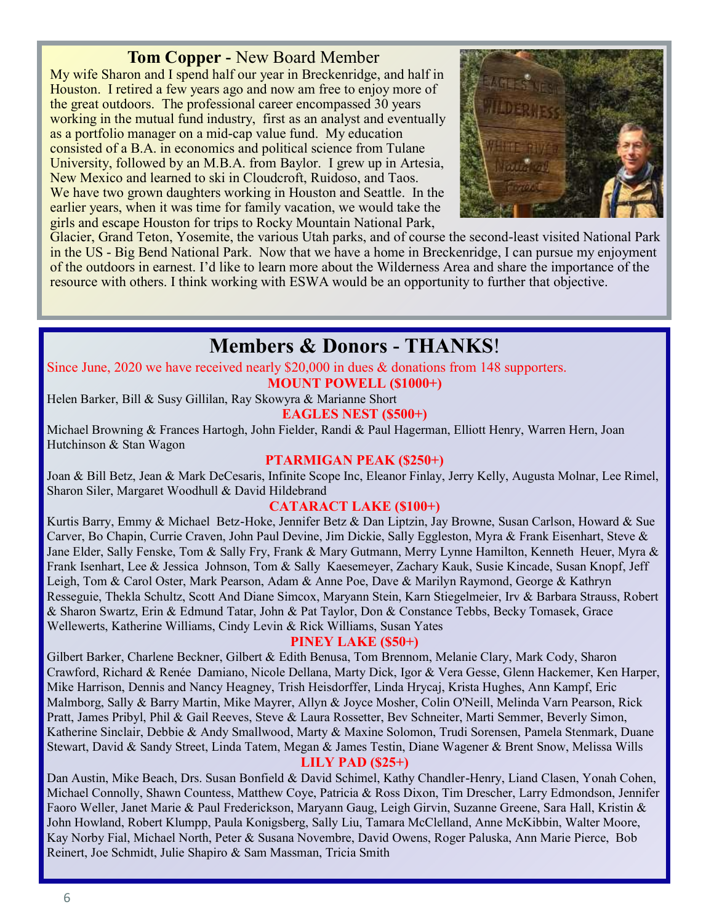### **Tom Copper -** New Board Member

My wife Sharon and I spend half our year in Breckenridge, and half in Houston. I retired a few years ago and now am free to enjoy more of the great outdoors. The professional career encompassed 30 years working in the mutual fund industry, first as an analyst and eventually as a portfolio manager on a mid-cap value fund. My education consisted of a B.A. in economics and political science from Tulane University, followed by an M.B.A. from Baylor. I grew up in Artesia, New Mexico and learned to ski in Cloudcroft, Ruidoso, and Taos. We have two grown daughters working in Houston and Seattle. In the earlier years, when it was time for family vacation, we would take the girls and escape Houston for trips to Rocky Mountain National Park,



Glacier, Grand Teton, Yosemite, the various Utah parks, and of course the second-least visited National Park in the US - Big Bend National Park. Now that we have a home in Breckenridge, I can pursue my enjoyment of the outdoors in earnest. I'd like to learn more about the Wilderness Area and share the importance of the resource with others. I think working with ESWA would be an opportunity to further that objective.

## **Members & Donors - THANKS**!

Since June, 2020 we have received nearly \$20,000 in dues & donations from 148 supporters.

**MOUNT POWELL (\$1000+)**

Helen Barker, Bill & Susy Gillilan, Ray Skowyra & Marianne Short **EAGLES NEST (\$500+)**

Michael Browning & Frances Hartogh, John Fielder, Randi & Paul Hagerman, Elliott Henry, Warren Hern, Joan Hutchinson & Stan Wagon

#### **PTARMIGAN PEAK (\$250+)**

Joan & Bill Betz, Jean & Mark DeCesaris, Infinite Scope Inc, Eleanor Finlay, Jerry Kelly, Augusta Molnar, Lee Rimel, Sharon Siler, Margaret Woodhull & David Hildebrand

### **CATARACT LAKE (\$100+)**

Kurtis Barry, Emmy & Michael Betz-Hoke, Jennifer Betz & Dan Liptzin, Jay Browne, Susan Carlson, Howard & Sue Carver, Bo Chapin, Currie Craven, John Paul Devine, Jim Dickie, Sally Eggleston, Myra & Frank Eisenhart, Steve & Jane Elder, Sally Fenske, Tom & Sally Fry, Frank & Mary Gutmann, Merry Lynne Hamilton, Kenneth Heuer, Myra & Frank Isenhart, Lee & Jessica Johnson, Tom & Sally Kaesemeyer, Zachary Kauk, Susie Kincade, Susan Knopf, Jeff Leigh, Tom & Carol Oster, Mark Pearson, Adam & Anne Poe, Dave & Marilyn Raymond, George & Kathryn Resseguie, Thekla Schultz, Scott And Diane Simcox, Maryann Stein, Karn Stiegelmeier, Irv & Barbara Strauss, Robert & Sharon Swartz, Erin & Edmund Tatar, John & Pat Taylor, Don & Constance Tebbs, Becky Tomasek, Grace Wellewerts, Katherine Williams, Cindy Levin & Rick Williams, Susan Yates

### **PINEY LAKE (\$50+)**

Gilbert Barker, Charlene Beckner, Gilbert & Edith Benusa, Tom Brennom, Melanie Clary, Mark Cody, Sharon Crawford, Richard & Renée Damiano, Nicole Dellana, Marty Dick, Igor & Vera Gesse, Glenn Hackemer, Ken Harper, Mike Harrison, Dennis and Nancy Heagney, Trish Heisdorffer, Linda Hrycaj, Krista Hughes, Ann Kampf, Eric Malmborg, Sally & Barry Martin, Mike Mayrer, Allyn & Joyce Mosher, Colin O'Neill, Melinda Varn Pearson, Rick Pratt, James Pribyl, Phil & Gail Reeves, Steve & Laura Rossetter, Bev Schneiter, Marti Semmer, Beverly Simon, Katherine Sinclair, Debbie & Andy Smallwood, Marty & Maxine Solomon, Trudi Sorensen, Pamela Stenmark, Duane Stewart, David & Sandy Street, Linda Tatem, Megan & James Testin, Diane Wagener & Brent Snow, Melissa Wills

### **LILY PAD (\$25+)**

Dan Austin, Mike Beach, Drs. Susan Bonfield & David Schimel, Kathy Chandler-Henry, Liand Clasen, Yonah Cohen, Michael Connolly, Shawn Countess, Matthew Coye, Patricia & Ross Dixon, Tim Drescher, Larry Edmondson, Jennifer Faoro Weller, Janet Marie & Paul Frederickson, Maryann Gaug, Leigh Girvin, Suzanne Greene, Sara Hall, Kristin & John Howland, Robert Klumpp, Paula Konigsberg, Sally Liu, Tamara McClelland, Anne McKibbin, Walter Moore, Kay Norby Fial, Michael North, Peter & Susana Novembre, David Owens, Roger Paluska, Ann Marie Pierce, Bob Reinert, Joe Schmidt, Julie Shapiro & Sam Massman, Tricia Smith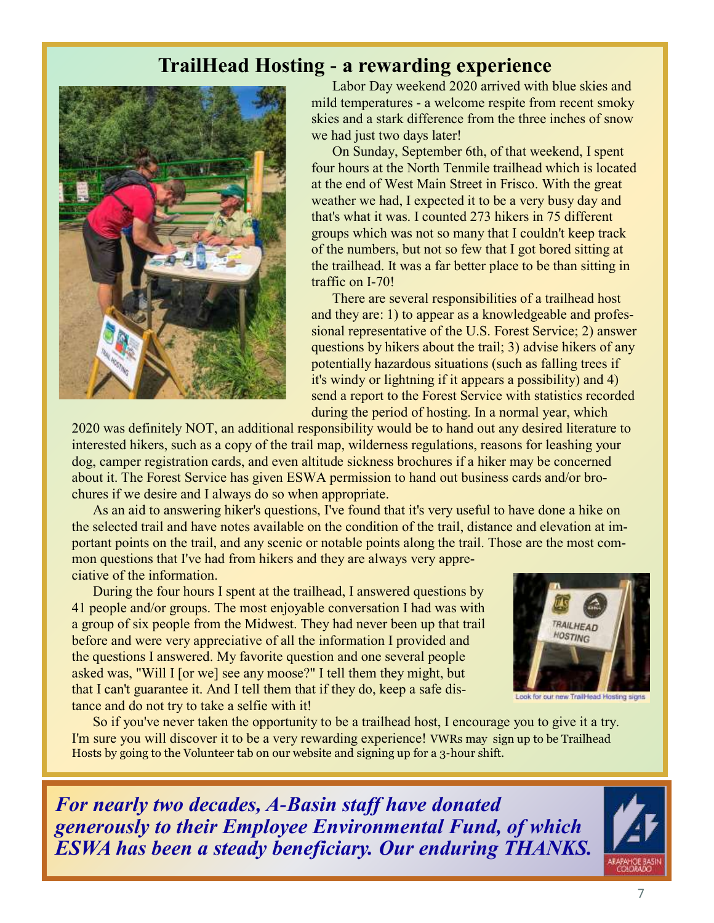# **TrailHead Hosting - a rewarding experience**



Labor Day weekend 2020 arrived with blue skies and mild temperatures - a welcome respite from recent smoky skies and a stark difference from the three inches of snow we had just two days later!

On Sunday, September 6th, of that weekend, I spent four hours at the North Tenmile trailhead which is located at the end of West Main Street in Frisco. With the great weather we had, I expected it to be a very busy day and that's what it was. I counted 273 hikers in 75 different groups which was not so many that I couldn't keep track of the numbers, but not so few that I got bored sitting at the trailhead. It was a far better place to be than sitting in traffic on I-70!

There are several responsibilities of a trailhead host and they are: 1) to appear as a knowledgeable and professional representative of the U.S. Forest Service; 2) answer questions by hikers about the trail; 3) advise hikers of any potentially hazardous situations (such as falling trees if it's windy or lightning if it appears a possibility) and 4) send a report to the Forest Service with statistics recorded during the period of hosting. In a normal year, which

2020 was definitely NOT, an additional responsibility would be to hand out any desired literature to interested hikers, such as a copy of the trail map, wilderness regulations, reasons for leashing your dog, camper registration cards, and even altitude sickness brochures if a hiker may be concerned about it. The Forest Service has given ESWA permission to hand out business cards and/or brochures if we desire and I always do so when appropriate.

As an aid to answering hiker's questions, I've found that it's very useful to have done a hike on the selected trail and have notes available on the condition of the trail, distance and elevation at important points on the trail, and any scenic or notable points along the trail. Those are the most common questions that I've had from hikers and they are always very appreciative of the information.

During the four hours I spent at the trailhead, I answered questions by 41 people and/or groups. The most enjoyable conversation I had was with a group of six people from the Midwest. They had never been up that trail before and were very appreciative of all the information I provided and the questions I answered. My favorite question and one several people asked was, "Will I [or we] see any moose?" I tell them they might, but that I can't guarantee it. And I tell them that if they do, keep a safe distance and do not try to take a selfie with it!



ook for our new TrailHead Hosting signs

So if you've never taken the opportunity to be a trailhead host, I encourage you to give it a try. I'm sure you will discover it to be a very rewarding experience! VWRs may sign up to be Trailhead Hosts by going to the Volunteer tab on our website and signing up for a 3-hour shift.

*For nearly two decades, A-Basin staff have donated generously to their Employee Environmental Fund, of which ESWA has been a steady beneficiary. Our enduring THANKS.*